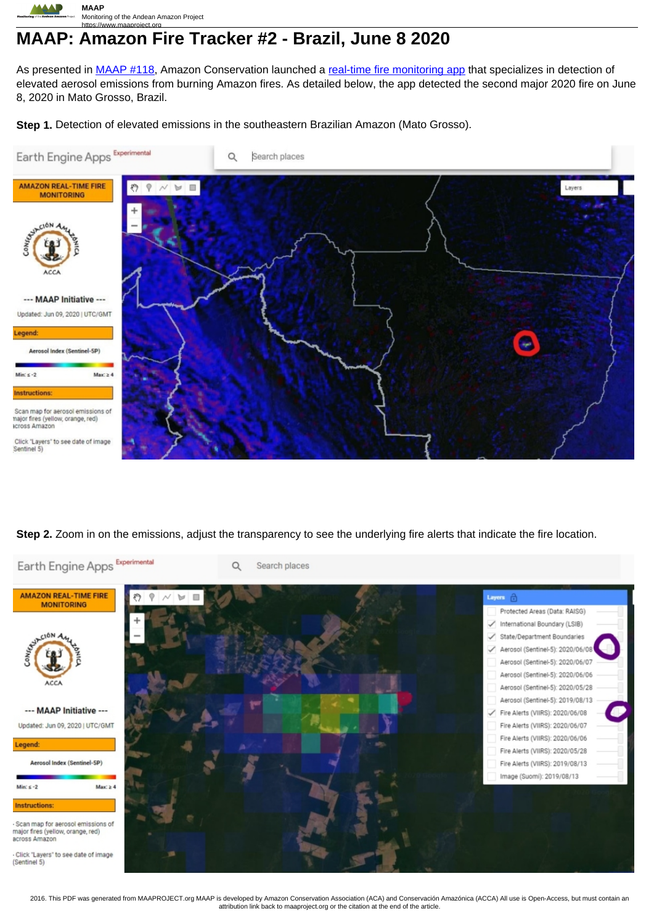

# https://www.maaproject.org **MAAP: Amazon Fire Tracker #2 - Brazil, June 8 2020**

As presented in [MAAP #118,](https://www.maaproject.org/2020/amazon-fire-app/) Amazon Conservation launched a real-time fire monitoring app that specializes in detection of elevated aerosol emissions from burning Amazon fires. As detailed below, the app detected the second major 2020 fire on June 8, 2020 in Mato Grosso, Brazil.

**Step 1.** Detection of elevated emissions in the southeastern Brazilian Amazon (Mato Grosso).



## **Step 2.** Zoom in on the emissions, adjust the transparency to see the underlying fire alerts that indicate the fire location.



2016. This PDF was generated from MAAPROJECT.org MAAP is developed by Amazon Conservation Association (ACA) and Conservación Amazónica (ACCA) All use is Open-Access, but must contain an attribution link back to maaproject.org or the citation at the end of the article.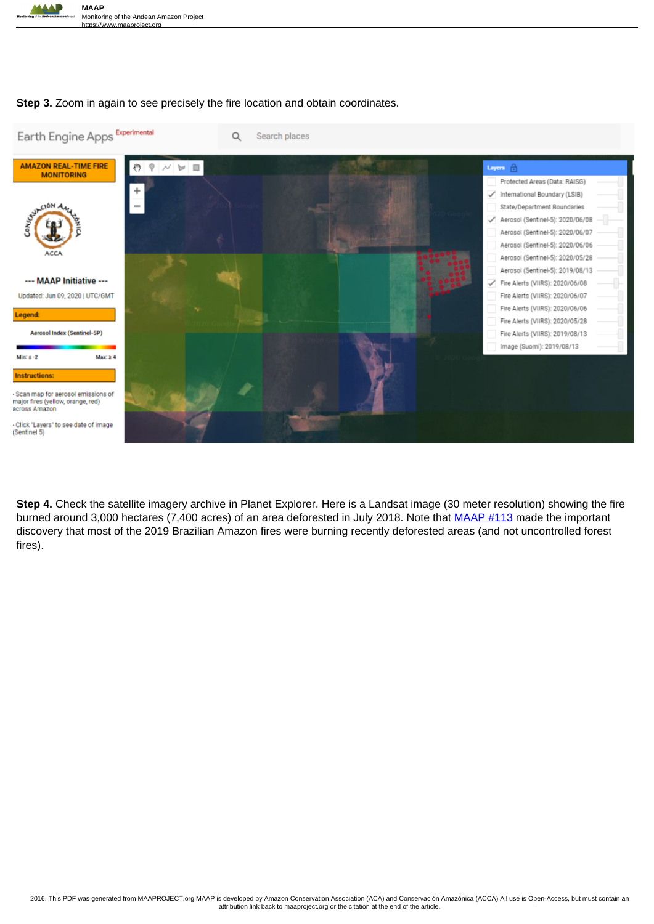

## **Step 3.** Zoom in again to see precisely the fire location and obtain coordinates.



**Step 4.** Check the satellite imagery archive in Planet Explorer. Here is a Landsat image (30 meter resolution) showing the fire burned around 3,000 hectares (7,400 acres) of an area deforested in July 2018. Note that MAAP #113 made the important discovery that most of the 2019 Brazilian Amazon fires were burning recently deforested areas (and not uncontrolled forest fires).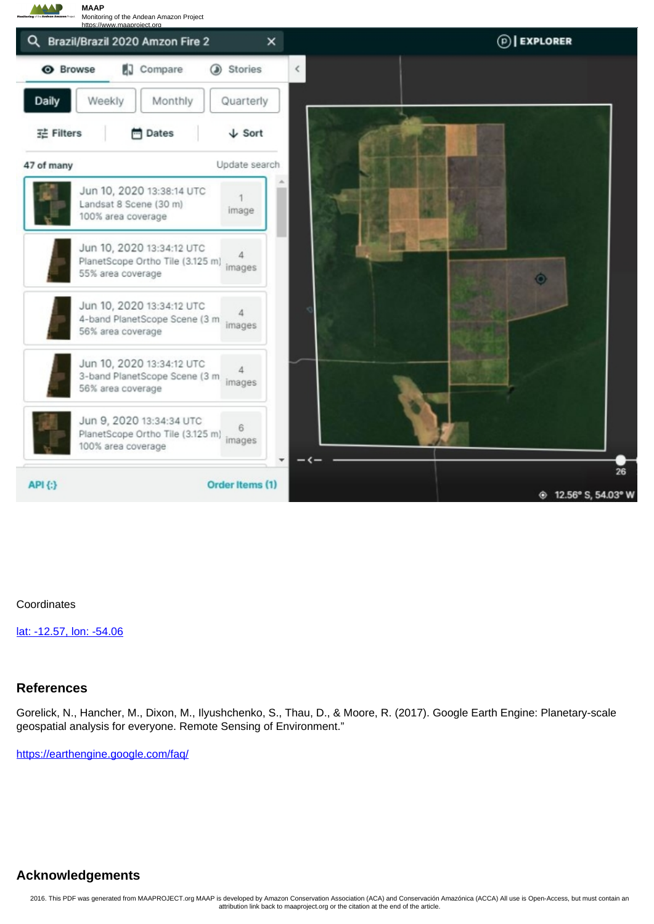

#### **Coordinates**

lat: -12.57, lon: -54.06

## **References**

Gorelick, N., Hancher, M., Dixon, M., Ilyushchenko, S., Thau, D., & Moore, R. (2017). Google Earth Engine: Planetary-scale geospatial analysis for everyone. Remote Sensing of Environment."

https://earthengine.google.com/faq/

# **Acknowledgements**